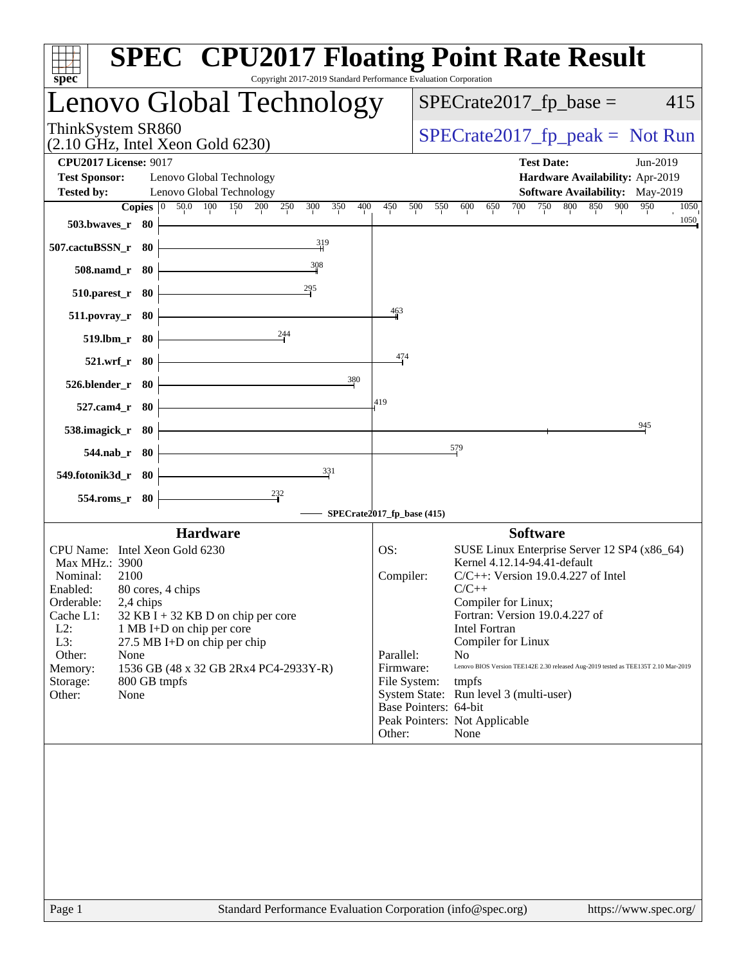| spec <sup>®</sup>                                    | Copyright 2017-2019 Standard Performance Evaluation Corporation |                            | <b>SPEC<sup>®</sup> CPU2017 Floating Point Rate Result</b>                         |
|------------------------------------------------------|-----------------------------------------------------------------|----------------------------|------------------------------------------------------------------------------------|
|                                                      | Lenovo Global Technology                                        |                            | $SPECrate2017_fp\_base =$<br>415                                                   |
| ThinkSystem SR860                                    | $(2.10 \text{ GHz}, \text{Intel Xeon Gold } 6230)$              |                            | $SPECrate2017_fp\_peak = Not Run$                                                  |
| <b>CPU2017 License: 9017</b><br><b>Test Sponsor:</b> | Lenovo Global Technology                                        |                            | <b>Test Date:</b><br>Jun-2019<br>Hardware Availability: Apr-2019                   |
| <b>Tested by:</b>                                    | Lenovo Global Technology                                        |                            | Software Availability: May-2019                                                    |
| 503.bwaves_r 80                                      | <b>Copies</b> 0 50.0 100 150 200 250<br>400<br>300<br>350       | 500<br>450                 | 800<br>850 900<br>700<br>750<br>950<br>550<br>600<br>650<br>1050<br>1050           |
| 507.cactuBSSN_r 80                                   | 319                                                             |                            |                                                                                    |
| 508.namd_r 80                                        | 308                                                             |                            |                                                                                    |
| $510.parest_r$ 80                                    | $^{295}$                                                        |                            |                                                                                    |
| $511. povray_r$ 80                                   |                                                                 | $\frac{463}{2}$            |                                                                                    |
| 519.lbm_r 80                                         | 244                                                             |                            |                                                                                    |
| 521.wrf_r 80                                         |                                                                 | 474                        |                                                                                    |
| 526.blender_r 80                                     | 380                                                             | 419                        |                                                                                    |
| 527.cam4_r 80                                        |                                                                 |                            | 945                                                                                |
| 538.imagick_r 80                                     |                                                                 |                            | 579                                                                                |
| 544.nab_r 80<br>549.fotonik3d_r 80                   | 331                                                             |                            |                                                                                    |
| 554.roms_r 80                                        | $\frac{232}{7}$                                                 |                            |                                                                                    |
|                                                      |                                                                 | SPECrate2017_fp_base (415) |                                                                                    |
|                                                      | <b>Hardware</b>                                                 |                            | <b>Software</b>                                                                    |
| CPU Name: Intel Xeon Gold 6230                       |                                                                 | OS:                        | SUSE Linux Enterprise Server 12 SP4 (x86_64)                                       |
| Max MHz.: 3900                                       |                                                                 |                            | Kernel 4.12.14-94.41-default                                                       |
| Nominal:<br>2100                                     |                                                                 | Compiler:                  | $C/C++$ : Version 19.0.4.227 of Intel                                              |
| Enabled:                                             | 80 cores, 4 chips                                               |                            | $C/C++$                                                                            |
| Orderable:<br>2,4 chips<br>Cache L1:                 | $32$ KB I + 32 KB D on chip per core                            |                            | Compiler for Linux;<br>Fortran: Version 19.0.4.227 of                              |
| $L2$ :                                               | 1 MB I+D on chip per core                                       |                            | Intel Fortran                                                                      |
| L3:                                                  | 27.5 MB I+D on chip per chip                                    |                            | Compiler for Linux                                                                 |
| Other:<br>None                                       |                                                                 | Parallel:                  | N <sub>0</sub>                                                                     |
| Memory:                                              | 1536 GB (48 x 32 GB 2Rx4 PC4-2933Y-R)                           | Firmware:                  | Lenovo BIOS Version TEE142E 2.30 released Aug-2019 tested as TEE135T 2.10 Mar-2019 |
| Storage:<br>None<br>Other:                           | 800 GB tmpfs                                                    | File System:               | tmpfs<br>System State: Run level 3 (multi-user)                                    |
|                                                      |                                                                 |                            | Base Pointers: 64-bit                                                              |
|                                                      |                                                                 |                            | Peak Pointers: Not Applicable                                                      |
|                                                      |                                                                 | Other:                     | None                                                                               |
|                                                      |                                                                 |                            |                                                                                    |
| Page 1                                               | Standard Performance Evaluation Corporation (info@spec.org)     |                            | https://www.spec.org/                                                              |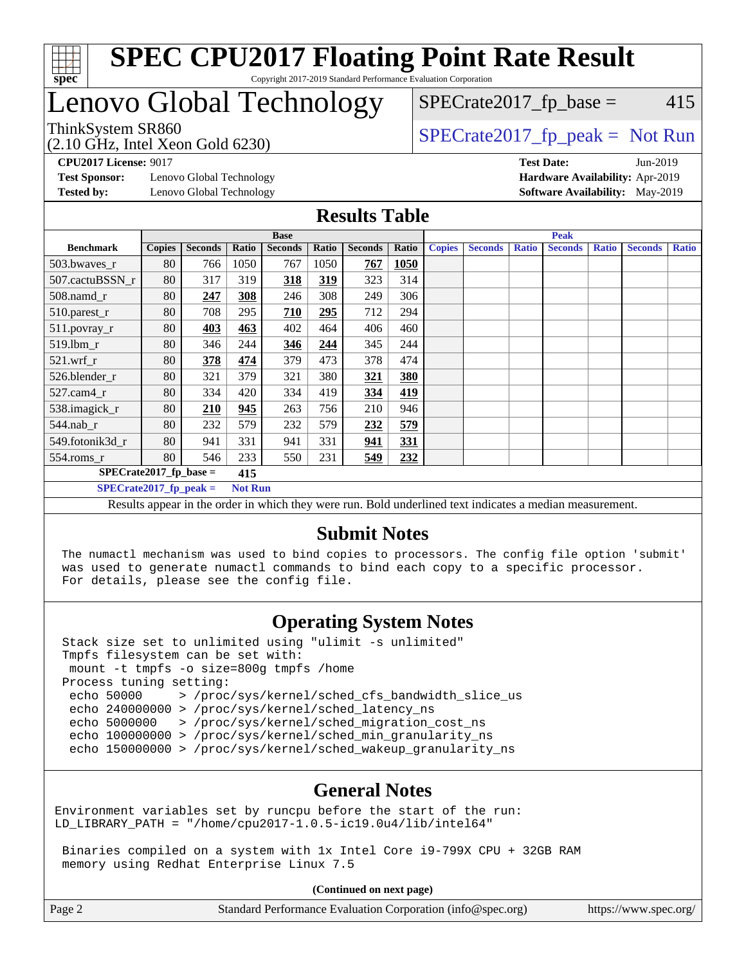

### **[SPEC CPU2017 Floating Point Rate Result](http://www.spec.org/auto/cpu2017/Docs/result-fields.html#SPECCPU2017FloatingPointRateResult)** Copyright 2017-2019 Standard Performance Evaluation Corporation

## Lenovo Global Technology

## $SPECTate2017<sub>fp</sub> base = 415$

(2.10 GHz, Intel Xeon Gold 6230)

ThinkSystem SR860<br>  $SPECTR_{10}$  [SPECrate2017\\_fp\\_peak =](http://www.spec.org/auto/cpu2017/Docs/result-fields.html#SPECrate2017fppeak) Not Run

**[CPU2017 License:](http://www.spec.org/auto/cpu2017/Docs/result-fields.html#CPU2017License)** 9017 **[Test Date:](http://www.spec.org/auto/cpu2017/Docs/result-fields.html#TestDate)** Jun-2019

**[Test Sponsor:](http://www.spec.org/auto/cpu2017/Docs/result-fields.html#TestSponsor)** Lenovo Global Technology **[Hardware Availability:](http://www.spec.org/auto/cpu2017/Docs/result-fields.html#HardwareAvailability)** Apr-2019 **[Tested by:](http://www.spec.org/auto/cpu2017/Docs/result-fields.html#Testedby)** Lenovo Global Technology **[Software Availability:](http://www.spec.org/auto/cpu2017/Docs/result-fields.html#SoftwareAvailability)** May-2019

#### **[Results Table](http://www.spec.org/auto/cpu2017/Docs/result-fields.html#ResultsTable)**

|                          | <b>Base</b>                      |                |                |                                                                                                         |       |                | <b>Peak</b> |               |                |              |                |              |                |              |
|--------------------------|----------------------------------|----------------|----------------|---------------------------------------------------------------------------------------------------------|-------|----------------|-------------|---------------|----------------|--------------|----------------|--------------|----------------|--------------|
| <b>Benchmark</b>         | <b>Copies</b>                    | <b>Seconds</b> | Ratio          | <b>Seconds</b>                                                                                          | Ratio | <b>Seconds</b> | Ratio       | <b>Copies</b> | <b>Seconds</b> | <b>Ratio</b> | <b>Seconds</b> | <b>Ratio</b> | <b>Seconds</b> | <b>Ratio</b> |
| 503.bwaves_r             | 80                               | 766            | 1050           | 767                                                                                                     | 1050  | 767            | 1050        |               |                |              |                |              |                |              |
| 507.cactuBSSN r          | 80                               | 317            | 319            | 318                                                                                                     | 319   | 323            | 314         |               |                |              |                |              |                |              |
| $508$ .namd_r            | 80                               | 247            | 308            | 246                                                                                                     | 308   | 249            | 306         |               |                |              |                |              |                |              |
| 510.parest_r             | 80                               | 708            | 295            | 710                                                                                                     | 295   | 712            | 294         |               |                |              |                |              |                |              |
| 511.povray_r             | 80                               | 403            | 463            | 402                                                                                                     | 464   | 406            | 460         |               |                |              |                |              |                |              |
| 519.1bm_r                | 80                               | 346            | 244            | 346                                                                                                     | 244   | 345            | 244         |               |                |              |                |              |                |              |
| $521$ .wrf r             | 80                               | 378            | 474            | 379                                                                                                     | 473   | 378            | 474         |               |                |              |                |              |                |              |
| 526.blender r            | 80                               | 321            | 379            | 321                                                                                                     | 380   | 321            | 380         |               |                |              |                |              |                |              |
| $527.cam4_r$             | 80                               | 334            | 420            | 334                                                                                                     | 419   | 334            | 419         |               |                |              |                |              |                |              |
| 538.imagick_r            | 80                               | 210            | 945            | 263                                                                                                     | 756   | 210            | 946         |               |                |              |                |              |                |              |
| 544.nab r                | 80                               | 232            | 579            | 232                                                                                                     | 579   | 232            | 579         |               |                |              |                |              |                |              |
| 549.fotonik3d r          | 80                               | 941            | 331            | 941                                                                                                     | 331   | 941            | 331         |               |                |              |                |              |                |              |
| $554$ .roms_r            | 80                               | 546            | 233            | 550                                                                                                     | 231   | 549            | 232         |               |                |              |                |              |                |              |
|                          | $SPECrate2017_fp\_base =$<br>415 |                |                |                                                                                                         |       |                |             |               |                |              |                |              |                |              |
| $SPECrate2017$ fp peak = |                                  |                | <b>Not Run</b> |                                                                                                         |       |                |             |               |                |              |                |              |                |              |
|                          |                                  |                |                | Deaulte ann an in the ander in which they were my Dald underlined text in diastes a median measurement. |       |                |             |               |                |              |                |              |                |              |

Results appear in the [order in which they were run](http://www.spec.org/auto/cpu2017/Docs/result-fields.html#RunOrder). Bold underlined text [indicates a median measurement.](http://www.spec.org/auto/cpu2017/Docs/result-fields.html#Median)

### **[Submit Notes](http://www.spec.org/auto/cpu2017/Docs/result-fields.html#SubmitNotes)**

 The numactl mechanism was used to bind copies to processors. The config file option 'submit' was used to generate numactl commands to bind each copy to a specific processor. For details, please see the config file.

### **[Operating System Notes](http://www.spec.org/auto/cpu2017/Docs/result-fields.html#OperatingSystemNotes)**

 Stack size set to unlimited using "ulimit -s unlimited" Tmpfs filesystem can be set with: mount -t tmpfs -o size=800g tmpfs /home Process tuning setting: echo 50000 > /proc/sys/kernel/sched\_cfs\_bandwidth\_slice\_us echo 240000000 > /proc/sys/kernel/sched\_latency\_ns echo 5000000 > /proc/sys/kernel/sched\_migration\_cost\_ns echo 100000000 > /proc/sys/kernel/sched\_min\_granularity\_ns echo 150000000 > /proc/sys/kernel/sched\_wakeup\_granularity\_ns

### **[General Notes](http://www.spec.org/auto/cpu2017/Docs/result-fields.html#GeneralNotes)**

Environment variables set by runcpu before the start of the run: LD\_LIBRARY\_PATH = "/home/cpu2017-1.0.5-ic19.0u4/lib/intel64"

 Binaries compiled on a system with 1x Intel Core i9-799X CPU + 32GB RAM memory using Redhat Enterprise Linux 7.5

**(Continued on next page)**

| https://www.spec.org/ |
|-----------------------|
|                       |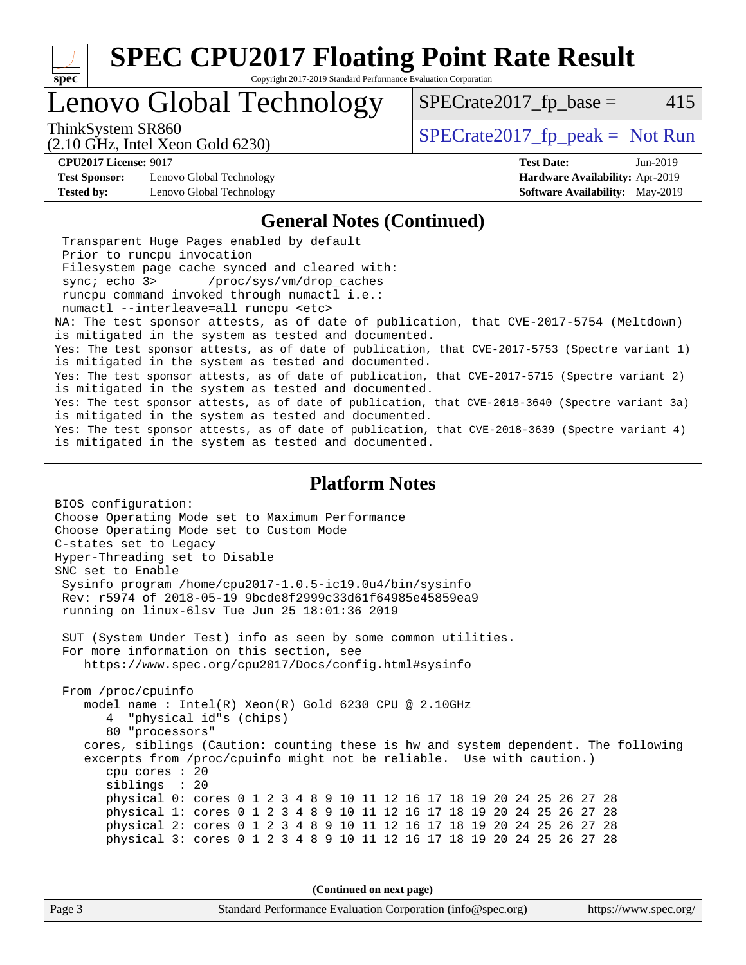

Copyright 2017-2019 Standard Performance Evaluation Corporation

## Lenovo Global Technology

ThinkSystem SR860<br>  $SPECrate2017$  fp\_peak = Not Run

 $SPECTate2017<sub>fp</sub> base = 415$ 

#### (2.10 GHz, Intel Xeon Gold 6230)

**[Test Sponsor:](http://www.spec.org/auto/cpu2017/Docs/result-fields.html#TestSponsor)** Lenovo Global Technology **[Hardware Availability:](http://www.spec.org/auto/cpu2017/Docs/result-fields.html#HardwareAvailability)** Apr-2019

**[CPU2017 License:](http://www.spec.org/auto/cpu2017/Docs/result-fields.html#CPU2017License)** 9017 **[Test Date:](http://www.spec.org/auto/cpu2017/Docs/result-fields.html#TestDate)** Jun-2019 **[Tested by:](http://www.spec.org/auto/cpu2017/Docs/result-fields.html#Testedby)** Lenovo Global Technology **[Software Availability:](http://www.spec.org/auto/cpu2017/Docs/result-fields.html#SoftwareAvailability)** May-2019

### **[General Notes \(Continued\)](http://www.spec.org/auto/cpu2017/Docs/result-fields.html#GeneralNotes)**

 Transparent Huge Pages enabled by default Prior to runcpu invocation Filesystem page cache synced and cleared with: sync; echo 3> /proc/sys/vm/drop\_caches runcpu command invoked through numactl i.e.: numactl --interleave=all runcpu <etc> NA: The test sponsor attests, as of date of publication, that CVE-2017-5754 (Meltdown) is mitigated in the system as tested and documented. Yes: The test sponsor attests, as of date of publication, that CVE-2017-5753 (Spectre variant 1) is mitigated in the system as tested and documented. Yes: The test sponsor attests, as of date of publication, that CVE-2017-5715 (Spectre variant 2) is mitigated in the system as tested and documented. Yes: The test sponsor attests, as of date of publication, that CVE-2018-3640 (Spectre variant 3a) is mitigated in the system as tested and documented. Yes: The test sponsor attests, as of date of publication, that CVE-2018-3639 (Spectre variant 4) is mitigated in the system as tested and documented.

#### **[Platform Notes](http://www.spec.org/auto/cpu2017/Docs/result-fields.html#PlatformNotes)**

BIOS configuration: Choose Operating Mode set to Maximum Performance Choose Operating Mode set to Custom Mode C-states set to Legacy Hyper-Threading set to Disable SNC set to Enable Sysinfo program /home/cpu2017-1.0.5-ic19.0u4/bin/sysinfo Rev: r5974 of 2018-05-19 9bcde8f2999c33d61f64985e45859ea9 running on linux-6lsv Tue Jun 25 18:01:36 2019 SUT (System Under Test) info as seen by some common utilities. For more information on this section, see <https://www.spec.org/cpu2017/Docs/config.html#sysinfo> From /proc/cpuinfo model name : Intel(R) Xeon(R) Gold 6230 CPU @ 2.10GHz 4 "physical id"s (chips) 80 "processors" cores, siblings (Caution: counting these is hw and system dependent. The following excerpts from /proc/cpuinfo might not be reliable. Use with caution.) cpu cores : 20 siblings : 20 physical 0: cores 0 1 2 3 4 8 9 10 11 12 16 17 18 19 20 24 25 26 27 28 physical 1: cores 0 1 2 3 4 8 9 10 11 12 16 17 18 19 20 24 25 26 27 28 physical 2: cores 0 1 2 3 4 8 9 10 11 12 16 17 18 19 20 24 25 26 27 28 physical 3: cores 0 1 2 3 4 8 9 10 11 12 16 17 18 19 20 24 25 26 27 28

**(Continued on next page)**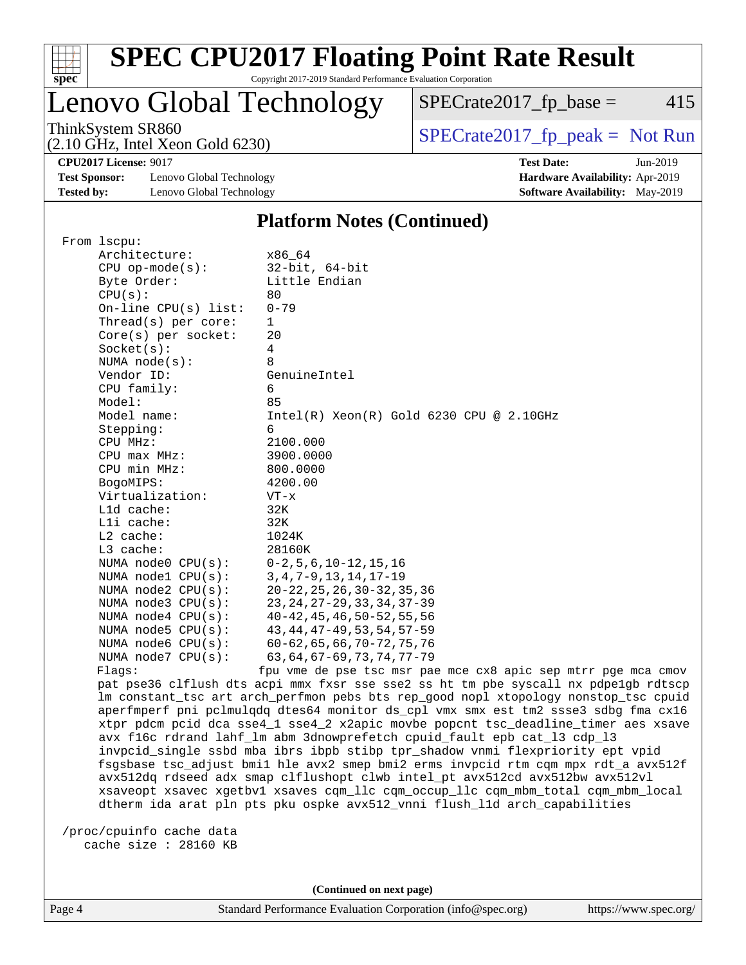

### **[SPEC CPU2017 Floating Point Rate Result](http://www.spec.org/auto/cpu2017/Docs/result-fields.html#SPECCPU2017FloatingPointRateResult)** Copyright 2017-2019 Standard Performance Evaluation Corporation

### Lenovo Global Technology

ThinkSystem SR860<br>  $(2.10 \text{ GHz. Intel Yoon Gold } 6230)$  [SPECrate2017\\_fp\\_peak =](http://www.spec.org/auto/cpu2017/Docs/result-fields.html#SPECrate2017fppeak) Not Run

 $SPECTate2017_fp\_base = 415$ 

(2.10 GHz, Intel Xeon Gold 6230)

**[CPU2017 License:](http://www.spec.org/auto/cpu2017/Docs/result-fields.html#CPU2017License)** 9017 **[Test Date:](http://www.spec.org/auto/cpu2017/Docs/result-fields.html#TestDate)** Jun-2019 **[Test Sponsor:](http://www.spec.org/auto/cpu2017/Docs/result-fields.html#TestSponsor)** Lenovo Global Technology **[Hardware Availability:](http://www.spec.org/auto/cpu2017/Docs/result-fields.html#HardwareAvailability)** Apr-2019 **[Tested by:](http://www.spec.org/auto/cpu2017/Docs/result-fields.html#Testedby)** Lenovo Global Technology **[Software Availability:](http://www.spec.org/auto/cpu2017/Docs/result-fields.html#SoftwareAvailability)** May-2019

### **[Platform Notes \(Continued\)](http://www.spec.org/auto/cpu2017/Docs/result-fields.html#PlatformNotes)**

| From 1scpu:             |                                                                                                                                                                    |
|-------------------------|--------------------------------------------------------------------------------------------------------------------------------------------------------------------|
| Architecture:           | x86_64                                                                                                                                                             |
| $CPU$ op-mode( $s$ ):   | $32$ -bit, $64$ -bit                                                                                                                                               |
| Byte Order:             | Little Endian                                                                                                                                                      |
| CPU(s):                 | 80                                                                                                                                                                 |
| $On$ -line CPU(s) list: | $0 - 79$                                                                                                                                                           |
| Thread( $s$ ) per core: | 1                                                                                                                                                                  |
| Core(s) per socket:     | 20                                                                                                                                                                 |
| Socket(s):              | $\overline{4}$                                                                                                                                                     |
| NUMA $node(s):$         | 8                                                                                                                                                                  |
| Vendor ID:              | GenuineIntel                                                                                                                                                       |
| CPU family:             | 6                                                                                                                                                                  |
| Model:                  | 85                                                                                                                                                                 |
| Model name:             | $Intel(R) Xeon(R) Gold 6230 CPU @ 2.10GHz$                                                                                                                         |
| Stepping:               | 6                                                                                                                                                                  |
| CPU MHz:                | 2100.000                                                                                                                                                           |
| $CPU$ max $MHz:$        | 3900.0000                                                                                                                                                          |
| CPU min MHz:            | 800.0000                                                                                                                                                           |
| BogoMIPS:               | 4200.00                                                                                                                                                            |
| Virtualization:         | $VT - x$                                                                                                                                                           |
| $L1d$ cache:            | 32K                                                                                                                                                                |
| Lli cache:              | 32K                                                                                                                                                                |
| L2 cache:               | 1024K                                                                                                                                                              |
| $L3$ cache:             | 28160K                                                                                                                                                             |
| NUMA node0 CPU(s):      | $0-2, 5, 6, 10-12, 15, 16$                                                                                                                                         |
| NUMA nodel CPU(s):      | $3, 4, 7 - 9, 13, 14, 17 - 19$                                                                                                                                     |
| NUMA node2 CPU(s):      | $20 - 22, 25, 26, 30 - 32, 35, 36$                                                                                                                                 |
| NUMA node3 CPU(s):      | 23, 24, 27-29, 33, 34, 37-39                                                                                                                                       |
| NUMA $node4$ $CPU(s):$  | $40 - 42$ , $45$ , $46$ , $50 - 52$ , $55$ , $56$                                                                                                                  |
| NUMA node5 CPU(s):      | 43, 44, 47-49, 53, 54, 57-59                                                                                                                                       |
| NUMA node6 CPU(s):      | $60 - 62, 65, 66, 70 - 72, 75, 76$                                                                                                                                 |
|                         | 63, 64, 67-69, 73, 74, 77-79                                                                                                                                       |
| NUMA node7 CPU(s):      |                                                                                                                                                                    |
| Flags:                  | fpu vme de pse tsc msr pae mce cx8 apic sep mtrr pge mca cmov<br>pat pse36 clflush dts acpi mmx fxsr sse sse2 ss ht tm pbe syscall nx pdpelgb rdtscp               |
|                         | lm constant_tsc art arch_perfmon pebs bts rep_good nopl xtopology nonstop_tsc cpuid                                                                                |
|                         | aperfmperf pni pclmulgdg dtes64 monitor ds_cpl vmx smx est tm2 ssse3 sdbg fma cx16                                                                                 |
|                         | xtpr pdcm pcid dca sse4_1 sse4_2 x2apic movbe popcnt tsc_deadline_timer aes xsave                                                                                  |
|                         |                                                                                                                                                                    |
|                         | avx f16c rdrand lahf_lm abm 3dnowprefetch cpuid_fault epb cat_13 cdp_13<br>invpcid_single ssbd mba ibrs ibpb stibp tpr_shadow vnmi flexpriority ept vpid           |
|                         |                                                                                                                                                                    |
|                         | fsgsbase tsc_adjust bmil hle avx2 smep bmi2 erms invpcid rtm cqm mpx rdt_a avx512f<br>avx512dq rdseed adx smap clflushopt clwb intel_pt avx512cd avx512bw avx512vl |
|                         | xsaveopt xsavec xgetbvl xsaves cqm_llc cqm_occup_llc cqm_mbm_total cqm_mbm_local                                                                                   |
|                         |                                                                                                                                                                    |

dtherm ida arat pln pts pku ospke avx512\_vnni flush\_l1d arch\_capabilities

 /proc/cpuinfo cache data cache size : 28160 KB

**(Continued on next page)**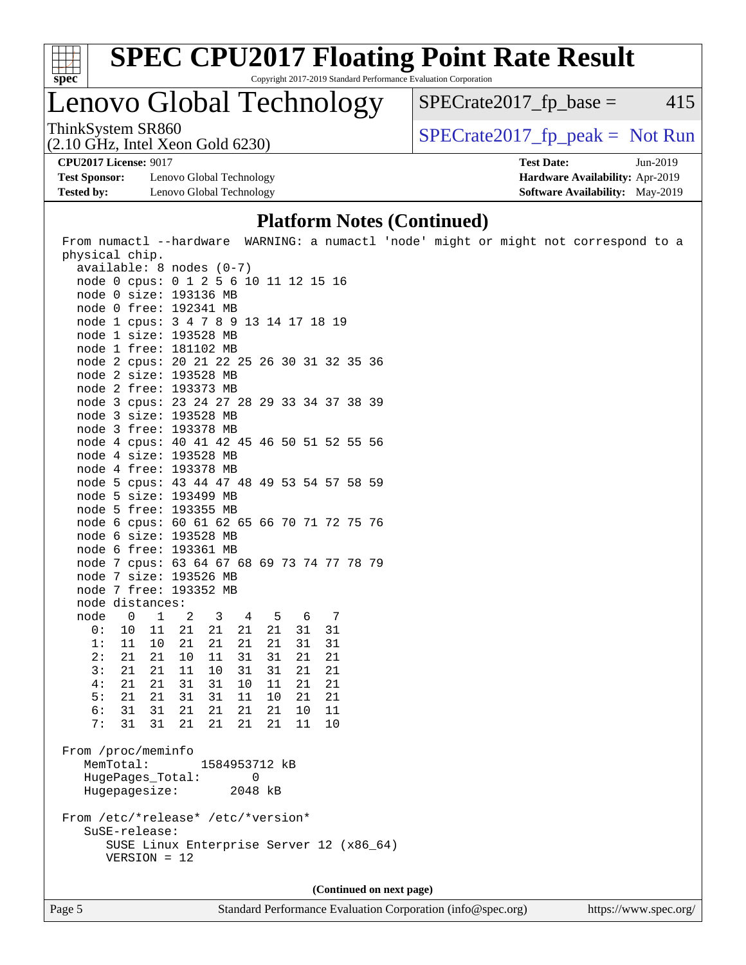

Copyright 2017-2019 Standard Performance Evaluation Corporation

### Lenovo Global Technology

ThinkSystem SR860<br>  $(2.10 \text{ GHz})$  Intel Yeon Gold 6230)  $SPECrate2017_fp\_base = 415$ 

(2.10 GHz, Intel Xeon Gold 6230)

**[Test Sponsor:](http://www.spec.org/auto/cpu2017/Docs/result-fields.html#TestSponsor)** Lenovo Global Technology **[Hardware Availability:](http://www.spec.org/auto/cpu2017/Docs/result-fields.html#HardwareAvailability)** Apr-2019 **[Tested by:](http://www.spec.org/auto/cpu2017/Docs/result-fields.html#Testedby)** Lenovo Global Technology **[Software Availability:](http://www.spec.org/auto/cpu2017/Docs/result-fields.html#SoftwareAvailability)** May-2019

**[CPU2017 License:](http://www.spec.org/auto/cpu2017/Docs/result-fields.html#CPU2017License)** 9017 **[Test Date:](http://www.spec.org/auto/cpu2017/Docs/result-fields.html#TestDate)** Jun-2019

**[Platform Notes \(Continued\)](http://www.spec.org/auto/cpu2017/Docs/result-fields.html#PlatformNotes)**

| From numactl --hardware WARNING: a numactl 'node' might or might not correspond to a<br>physical chip. |                                          |                      |          |                          |  |  |  |
|--------------------------------------------------------------------------------------------------------|------------------------------------------|----------------------|----------|--------------------------|--|--|--|
| $available: 8 nodes (0-7)$                                                                             |                                          |                      |          |                          |  |  |  |
| node 0 cpus: 0 1 2 5 6 10 11 12 15 16                                                                  |                                          |                      |          |                          |  |  |  |
|                                                                                                        |                                          |                      |          |                          |  |  |  |
| node 0 size: 193136 MB<br>node 0 free: 192341 MB                                                       |                                          |                      |          |                          |  |  |  |
|                                                                                                        |                                          |                      |          |                          |  |  |  |
| node 1 cpus: 3 4 7 8 9 13 14 17 18 19                                                                  |                                          |                      |          |                          |  |  |  |
| node 1 size: 193528 MB                                                                                 |                                          |                      |          |                          |  |  |  |
| node 1 free: 181102 MB                                                                                 |                                          |                      |          |                          |  |  |  |
| node 2 cpus: 20 21 22 25 26 30 31 32 35 36<br>node 2 size: 193528 MB                                   |                                          |                      |          |                          |  |  |  |
|                                                                                                        |                                          |                      |          |                          |  |  |  |
| node 2 free: 193373 MB                                                                                 |                                          |                      |          |                          |  |  |  |
| node 3 cpus: 23 24 27 28 29 33 34 37 38 39                                                             |                                          |                      |          |                          |  |  |  |
| node 3 size: 193528 MB                                                                                 |                                          |                      |          |                          |  |  |  |
| node 3 free: 193378 MB                                                                                 |                                          |                      |          |                          |  |  |  |
| node 4 cpus: 40 41 42 45 46 50 51 52 55 56                                                             |                                          |                      |          |                          |  |  |  |
| node 4 size: 193528 MB                                                                                 |                                          |                      |          |                          |  |  |  |
| node 4 free: 193378 MB                                                                                 |                                          |                      |          |                          |  |  |  |
| node 5 cpus: 43 44 47 48 49 53 54 57 58 59                                                             |                                          |                      |          |                          |  |  |  |
| node 5 size: 193499 MB                                                                                 |                                          |                      |          |                          |  |  |  |
| node 5 free: 193355 MB                                                                                 |                                          |                      |          |                          |  |  |  |
| node 6 cpus: 60 61 62 65 66 70 71 72 75 76                                                             |                                          |                      |          |                          |  |  |  |
| node 6 size: 193528 MB                                                                                 |                                          |                      |          |                          |  |  |  |
| node 6 free: 193361 MB                                                                                 |                                          |                      |          |                          |  |  |  |
| node 7 cpus: 63 64 67 68 69 73 74 77 78 79                                                             |                                          |                      |          |                          |  |  |  |
| node 7 size: 193526 MB                                                                                 |                                          |                      |          |                          |  |  |  |
| node 7 free: 193352 MB                                                                                 |                                          |                      |          |                          |  |  |  |
| node distances:                                                                                        |                                          |                      |          |                          |  |  |  |
| node<br>$\overline{1}$<br>$\overline{\mathbf{0}}$                                                      | 2 3                                      | 4 5 6 7              |          |                          |  |  |  |
| 0:<br>10 11<br>1:                                                                                      | 21<br>21                                 | 21  21               | 31       | 31                       |  |  |  |
| 11 10                                                                                                  | 21<br>- 21                               | 21<br>21             | 31       | 31                       |  |  |  |
| 2:<br>21 21<br>3:                                                                                      | 11<br>10                                 | 31<br>31             | 21       | 21                       |  |  |  |
| 21 21<br>4:                                                                                            | 11<br>10<br>31 31                        | 31<br>31             | 21       | 21                       |  |  |  |
| 21 21<br>5:                                                                                            |                                          | 10<br>11             | 21       | 21                       |  |  |  |
| 21 21<br>6:<br>31 31                                                                                   | 31<br>31<br>21<br>21                     | 11<br>10             | 21<br>10 | 21                       |  |  |  |
| 7:<br>31<br>31                                                                                         | 21<br>21                                 | 21<br>21<br>21<br>21 | 11       | 11<br>10                 |  |  |  |
|                                                                                                        |                                          |                      |          |                          |  |  |  |
| From /proc/meminfo<br>MemTotal:                                                                        |                                          | 1584953712 kB        |          |                          |  |  |  |
|                                                                                                        | HugePages_Total: 0                       |                      |          |                          |  |  |  |
| Hugepagesize:                                                                                          |                                          | 2048 kB              |          |                          |  |  |  |
|                                                                                                        |                                          |                      |          |                          |  |  |  |
| From /etc/*release* /etc/*version*                                                                     |                                          |                      |          |                          |  |  |  |
| SuSE-release:                                                                                          |                                          |                      |          |                          |  |  |  |
|                                                                                                        | SUSE Linux Enterprise Server 12 (x86_64) |                      |          |                          |  |  |  |
| $VERSION = 12$                                                                                         |                                          |                      |          |                          |  |  |  |
|                                                                                                        |                                          |                      |          |                          |  |  |  |
|                                                                                                        |                                          |                      |          |                          |  |  |  |
|                                                                                                        |                                          |                      |          | (Continued on next page) |  |  |  |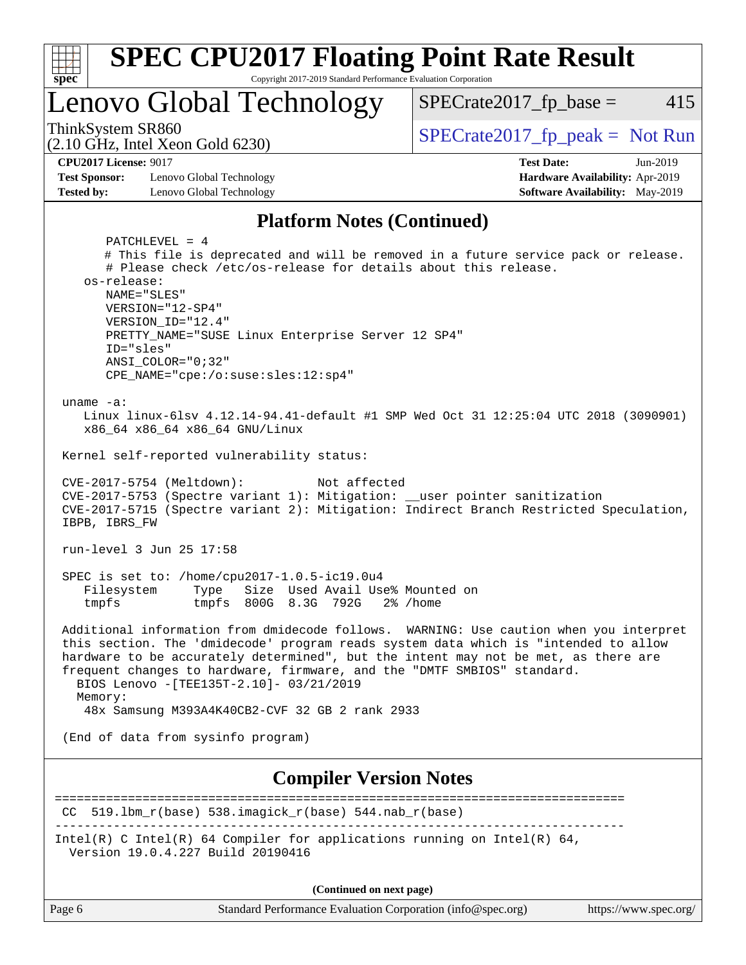

**(Continued on next page)**

| Page 6 |  |
|--------|--|
|--------|--|

Page 6 Standard Performance Evaluation Corporation [\(info@spec.org\)](mailto:info@spec.org) <https://www.spec.org/>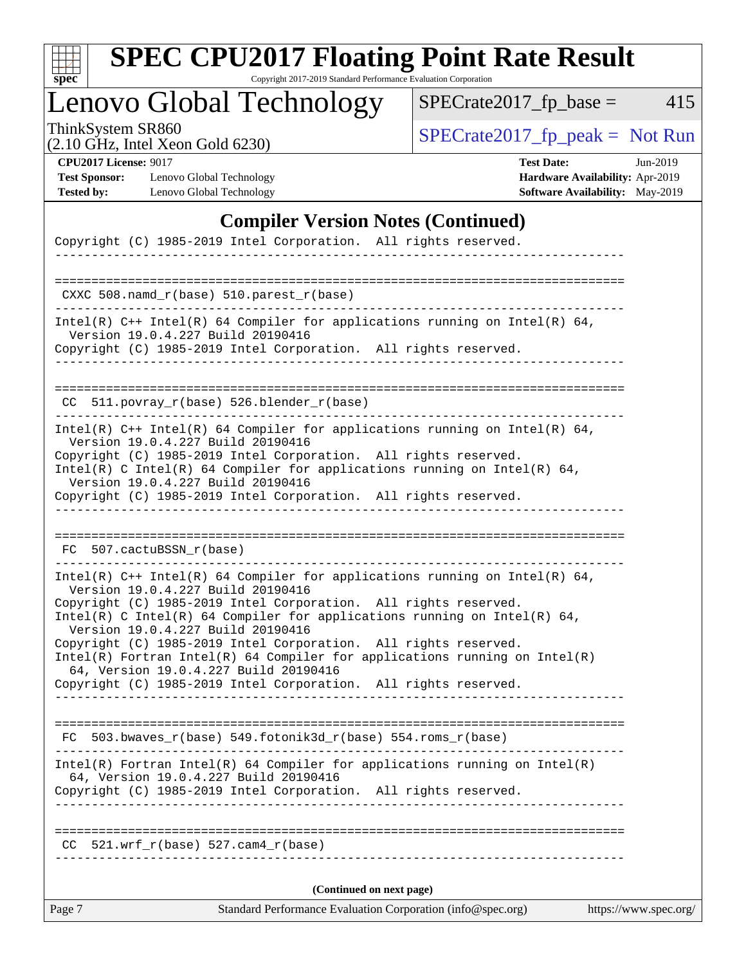| S | оe |  |
|---|----|--|

Copyright 2017-2019 Standard Performance Evaluation Corporation

## Lenovo Global Technology

ThinkSystem SR860<br>  $(2.10 \text{ GHz. Intel } Y_{\text{QCD}}$  Gold 6230)

 $SPECrate2017_fp\_base = 415$ 

(2.10 GHz, Intel Xeon Gold 6230)

**[CPU2017 License:](http://www.spec.org/auto/cpu2017/Docs/result-fields.html#CPU2017License)** 9017 **[Test Date:](http://www.spec.org/auto/cpu2017/Docs/result-fields.html#TestDate)** Jun-2019 **[Test Sponsor:](http://www.spec.org/auto/cpu2017/Docs/result-fields.html#TestSponsor)** Lenovo Global Technology **[Hardware Availability:](http://www.spec.org/auto/cpu2017/Docs/result-fields.html#HardwareAvailability)** Apr-2019 **[Tested by:](http://www.spec.org/auto/cpu2017/Docs/result-fields.html#Testedby)** Lenovo Global Technology **[Software Availability:](http://www.spec.org/auto/cpu2017/Docs/result-fields.html#SoftwareAvailability)** May-2019

### **[Compiler Version Notes \(Continued\)](http://www.spec.org/auto/cpu2017/Docs/result-fields.html#CompilerVersionNotes)**

| Copyright (C) 1985-2019 Intel Corporation. All rights reserved.<br>______________________________                                                                                                                                                                                                                                                                                                                                                                                                                                                                    |
|----------------------------------------------------------------------------------------------------------------------------------------------------------------------------------------------------------------------------------------------------------------------------------------------------------------------------------------------------------------------------------------------------------------------------------------------------------------------------------------------------------------------------------------------------------------------|
| CXXC 508.namd_r(base) 510.parest_r(base)                                                                                                                                                                                                                                                                                                                                                                                                                                                                                                                             |
| Intel(R) $C++$ Intel(R) 64 Compiler for applications running on Intel(R) 64,<br>Version 19.0.4.227 Build 20190416<br>Copyright (C) 1985-2019 Intel Corporation. All rights reserved.                                                                                                                                                                                                                                                                                                                                                                                 |
| $CC$ 511.povray $r(base)$ 526.blender $r(base)$                                                                                                                                                                                                                                                                                                                                                                                                                                                                                                                      |
| Intel(R) $C++$ Intel(R) 64 Compiler for applications running on Intel(R) 64,<br>Version 19.0.4.227 Build 20190416<br>Copyright (C) 1985-2019 Intel Corporation. All rights reserved.<br>Intel(R) C Intel(R) 64 Compiler for applications running on Intel(R) 64,<br>Version 19.0.4.227 Build 20190416<br>Copyright (C) 1985-2019 Intel Corporation. All rights reserved.                                                                                                                                                                                             |
| FC 507.cactuBSSN_r(base)                                                                                                                                                                                                                                                                                                                                                                                                                                                                                                                                             |
| Intel(R) $C++$ Intel(R) 64 Compiler for applications running on Intel(R) 64,<br>Version 19.0.4.227 Build 20190416<br>Copyright (C) 1985-2019 Intel Corporation. All rights reserved.<br>Intel(R) C Intel(R) 64 Compiler for applications running on Intel(R) 64,<br>Version 19.0.4.227 Build 20190416<br>Copyright (C) 1985-2019 Intel Corporation. All rights reserved.<br>Intel(R) Fortran Intel(R) 64 Compiler for applications running on $Intel(R)$<br>64, Version 19.0.4.227 Build 20190416<br>Copyright (C) 1985-2019 Intel Corporation. All rights reserved. |
| $FC 503.bwaves_r(base) 549.fotonik3d_r(base) 554.roms_r(base)$                                                                                                                                                                                                                                                                                                                                                                                                                                                                                                       |
| $Intel(R)$ Fortran Intel(R) 64 Compiler for applications running on Intel(R)<br>64, Version 19.0.4.227 Build 20190416<br>Copyright (C) 1985-2019 Intel Corporation. All rights reserved.<br>________________                                                                                                                                                                                                                                                                                                                                                         |
| $521.wrf_r(base) 527.cam4_r(base)$<br>CC.<br>--------------------------------                                                                                                                                                                                                                                                                                                                                                                                                                                                                                        |
| (Continued on next page)                                                                                                                                                                                                                                                                                                                                                                                                                                                                                                                                             |
| Standard Performance Evaluation Corporation (info@spec.org)<br>https://www.spec.org/<br>Page 7                                                                                                                                                                                                                                                                                                                                                                                                                                                                       |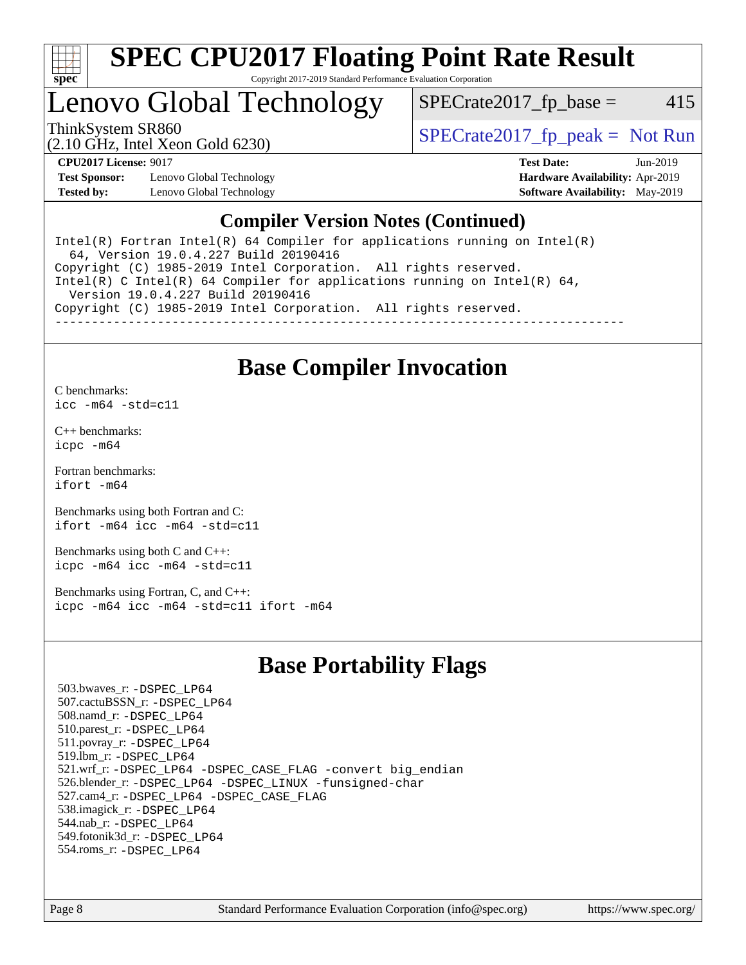

#### **[SPEC CPU2017 Floating Point Rate Result](http://www.spec.org/auto/cpu2017/Docs/result-fields.html#SPECCPU2017FloatingPointRateResult)** Copyright 2017-2019 Standard Performance Evaluation Corporation

## Lenovo Global Technology

ThinkSystem SR860<br>  $SPECrate2017$  fp\_peak = Not Run

 $SPECTate2017<sub>fp</sub> base = 415$ 

(2.10 GHz, Intel Xeon Gold 6230)

**[Test Sponsor:](http://www.spec.org/auto/cpu2017/Docs/result-fields.html#TestSponsor)** Lenovo Global Technology **[Hardware Availability:](http://www.spec.org/auto/cpu2017/Docs/result-fields.html#HardwareAvailability)** Apr-2019 **[Tested by:](http://www.spec.org/auto/cpu2017/Docs/result-fields.html#Testedby)** Lenovo Global Technology **[Software Availability:](http://www.spec.org/auto/cpu2017/Docs/result-fields.html#SoftwareAvailability)** May-2019

**[CPU2017 License:](http://www.spec.org/auto/cpu2017/Docs/result-fields.html#CPU2017License)** 9017 **[Test Date:](http://www.spec.org/auto/cpu2017/Docs/result-fields.html#TestDate)** Jun-2019

### **[Compiler Version Notes \(Continued\)](http://www.spec.org/auto/cpu2017/Docs/result-fields.html#CompilerVersionNotes)**

Intel(R) Fortran Intel(R)  $64$  Compiler for applications running on Intel(R) 64, Version 19.0.4.227 Build 20190416 Copyright (C) 1985-2019 Intel Corporation. All rights reserved. Intel(R) C Intel(R) 64 Compiler for applications running on Intel(R) 64, Version 19.0.4.227 Build 20190416 Copyright (C) 1985-2019 Intel Corporation. All rights reserved. ------------------------------------------------------------------------------

### **[Base Compiler Invocation](http://www.spec.org/auto/cpu2017/Docs/result-fields.html#BaseCompilerInvocation)**

[C benchmarks](http://www.spec.org/auto/cpu2017/Docs/result-fields.html#Cbenchmarks): [icc -m64 -std=c11](http://www.spec.org/cpu2017/results/res2019q3/cpu2017-20190708-15977.flags.html#user_CCbase_intel_icc_64bit_c11_33ee0cdaae7deeeab2a9725423ba97205ce30f63b9926c2519791662299b76a0318f32ddfffdc46587804de3178b4f9328c46fa7c2b0cd779d7a61945c91cd35)

[C++ benchmarks:](http://www.spec.org/auto/cpu2017/Docs/result-fields.html#CXXbenchmarks) [icpc -m64](http://www.spec.org/cpu2017/results/res2019q3/cpu2017-20190708-15977.flags.html#user_CXXbase_intel_icpc_64bit_4ecb2543ae3f1412ef961e0650ca070fec7b7afdcd6ed48761b84423119d1bf6bdf5cad15b44d48e7256388bc77273b966e5eb805aefd121eb22e9299b2ec9d9)

[Fortran benchmarks](http://www.spec.org/auto/cpu2017/Docs/result-fields.html#Fortranbenchmarks): [ifort -m64](http://www.spec.org/cpu2017/results/res2019q3/cpu2017-20190708-15977.flags.html#user_FCbase_intel_ifort_64bit_24f2bb282fbaeffd6157abe4f878425411749daecae9a33200eee2bee2fe76f3b89351d69a8130dd5949958ce389cf37ff59a95e7a40d588e8d3a57e0c3fd751)

[Benchmarks using both Fortran and C](http://www.spec.org/auto/cpu2017/Docs/result-fields.html#BenchmarksusingbothFortranandC): [ifort -m64](http://www.spec.org/cpu2017/results/res2019q3/cpu2017-20190708-15977.flags.html#user_CC_FCbase_intel_ifort_64bit_24f2bb282fbaeffd6157abe4f878425411749daecae9a33200eee2bee2fe76f3b89351d69a8130dd5949958ce389cf37ff59a95e7a40d588e8d3a57e0c3fd751) [icc -m64 -std=c11](http://www.spec.org/cpu2017/results/res2019q3/cpu2017-20190708-15977.flags.html#user_CC_FCbase_intel_icc_64bit_c11_33ee0cdaae7deeeab2a9725423ba97205ce30f63b9926c2519791662299b76a0318f32ddfffdc46587804de3178b4f9328c46fa7c2b0cd779d7a61945c91cd35)

[Benchmarks using both C and C++](http://www.spec.org/auto/cpu2017/Docs/result-fields.html#BenchmarksusingbothCandCXX): [icpc -m64](http://www.spec.org/cpu2017/results/res2019q3/cpu2017-20190708-15977.flags.html#user_CC_CXXbase_intel_icpc_64bit_4ecb2543ae3f1412ef961e0650ca070fec7b7afdcd6ed48761b84423119d1bf6bdf5cad15b44d48e7256388bc77273b966e5eb805aefd121eb22e9299b2ec9d9) [icc -m64 -std=c11](http://www.spec.org/cpu2017/results/res2019q3/cpu2017-20190708-15977.flags.html#user_CC_CXXbase_intel_icc_64bit_c11_33ee0cdaae7deeeab2a9725423ba97205ce30f63b9926c2519791662299b76a0318f32ddfffdc46587804de3178b4f9328c46fa7c2b0cd779d7a61945c91cd35)

[Benchmarks using Fortran, C, and C++:](http://www.spec.org/auto/cpu2017/Docs/result-fields.html#BenchmarksusingFortranCandCXX) [icpc -m64](http://www.spec.org/cpu2017/results/res2019q3/cpu2017-20190708-15977.flags.html#user_CC_CXX_FCbase_intel_icpc_64bit_4ecb2543ae3f1412ef961e0650ca070fec7b7afdcd6ed48761b84423119d1bf6bdf5cad15b44d48e7256388bc77273b966e5eb805aefd121eb22e9299b2ec9d9) [icc -m64 -std=c11](http://www.spec.org/cpu2017/results/res2019q3/cpu2017-20190708-15977.flags.html#user_CC_CXX_FCbase_intel_icc_64bit_c11_33ee0cdaae7deeeab2a9725423ba97205ce30f63b9926c2519791662299b76a0318f32ddfffdc46587804de3178b4f9328c46fa7c2b0cd779d7a61945c91cd35) [ifort -m64](http://www.spec.org/cpu2017/results/res2019q3/cpu2017-20190708-15977.flags.html#user_CC_CXX_FCbase_intel_ifort_64bit_24f2bb282fbaeffd6157abe4f878425411749daecae9a33200eee2bee2fe76f3b89351d69a8130dd5949958ce389cf37ff59a95e7a40d588e8d3a57e0c3fd751)

### **[Base Portability Flags](http://www.spec.org/auto/cpu2017/Docs/result-fields.html#BasePortabilityFlags)**

 503.bwaves\_r: [-DSPEC\\_LP64](http://www.spec.org/cpu2017/results/res2019q3/cpu2017-20190708-15977.flags.html#suite_basePORTABILITY503_bwaves_r_DSPEC_LP64) 507.cactuBSSN\_r: [-DSPEC\\_LP64](http://www.spec.org/cpu2017/results/res2019q3/cpu2017-20190708-15977.flags.html#suite_basePORTABILITY507_cactuBSSN_r_DSPEC_LP64) 508.namd\_r: [-DSPEC\\_LP64](http://www.spec.org/cpu2017/results/res2019q3/cpu2017-20190708-15977.flags.html#suite_basePORTABILITY508_namd_r_DSPEC_LP64) 510.parest\_r: [-DSPEC\\_LP64](http://www.spec.org/cpu2017/results/res2019q3/cpu2017-20190708-15977.flags.html#suite_basePORTABILITY510_parest_r_DSPEC_LP64) 511.povray\_r: [-DSPEC\\_LP64](http://www.spec.org/cpu2017/results/res2019q3/cpu2017-20190708-15977.flags.html#suite_basePORTABILITY511_povray_r_DSPEC_LP64) 519.lbm\_r: [-DSPEC\\_LP64](http://www.spec.org/cpu2017/results/res2019q3/cpu2017-20190708-15977.flags.html#suite_basePORTABILITY519_lbm_r_DSPEC_LP64) 521.wrf\_r: [-DSPEC\\_LP64](http://www.spec.org/cpu2017/results/res2019q3/cpu2017-20190708-15977.flags.html#suite_basePORTABILITY521_wrf_r_DSPEC_LP64) [-DSPEC\\_CASE\\_FLAG](http://www.spec.org/cpu2017/results/res2019q3/cpu2017-20190708-15977.flags.html#b521.wrf_r_baseCPORTABILITY_DSPEC_CASE_FLAG) [-convert big\\_endian](http://www.spec.org/cpu2017/results/res2019q3/cpu2017-20190708-15977.flags.html#user_baseFPORTABILITY521_wrf_r_convert_big_endian_c3194028bc08c63ac5d04de18c48ce6d347e4e562e8892b8bdbdc0214820426deb8554edfa529a3fb25a586e65a3d812c835984020483e7e73212c4d31a38223) 526.blender\_r: [-DSPEC\\_LP64](http://www.spec.org/cpu2017/results/res2019q3/cpu2017-20190708-15977.flags.html#suite_basePORTABILITY526_blender_r_DSPEC_LP64) [-DSPEC\\_LINUX](http://www.spec.org/cpu2017/results/res2019q3/cpu2017-20190708-15977.flags.html#b526.blender_r_baseCPORTABILITY_DSPEC_LINUX) [-funsigned-char](http://www.spec.org/cpu2017/results/res2019q3/cpu2017-20190708-15977.flags.html#user_baseCPORTABILITY526_blender_r_force_uchar_40c60f00ab013830e2dd6774aeded3ff59883ba5a1fc5fc14077f794d777847726e2a5858cbc7672e36e1b067e7e5c1d9a74f7176df07886a243d7cc18edfe67) 527.cam4\_r: [-DSPEC\\_LP64](http://www.spec.org/cpu2017/results/res2019q3/cpu2017-20190708-15977.flags.html#suite_basePORTABILITY527_cam4_r_DSPEC_LP64) [-DSPEC\\_CASE\\_FLAG](http://www.spec.org/cpu2017/results/res2019q3/cpu2017-20190708-15977.flags.html#b527.cam4_r_baseCPORTABILITY_DSPEC_CASE_FLAG) 538.imagick\_r: [-DSPEC\\_LP64](http://www.spec.org/cpu2017/results/res2019q3/cpu2017-20190708-15977.flags.html#suite_basePORTABILITY538_imagick_r_DSPEC_LP64) 544.nab\_r: [-DSPEC\\_LP64](http://www.spec.org/cpu2017/results/res2019q3/cpu2017-20190708-15977.flags.html#suite_basePORTABILITY544_nab_r_DSPEC_LP64) 549.fotonik3d\_r: [-DSPEC\\_LP64](http://www.spec.org/cpu2017/results/res2019q3/cpu2017-20190708-15977.flags.html#suite_basePORTABILITY549_fotonik3d_r_DSPEC_LP64) 554.roms\_r: [-DSPEC\\_LP64](http://www.spec.org/cpu2017/results/res2019q3/cpu2017-20190708-15977.flags.html#suite_basePORTABILITY554_roms_r_DSPEC_LP64)